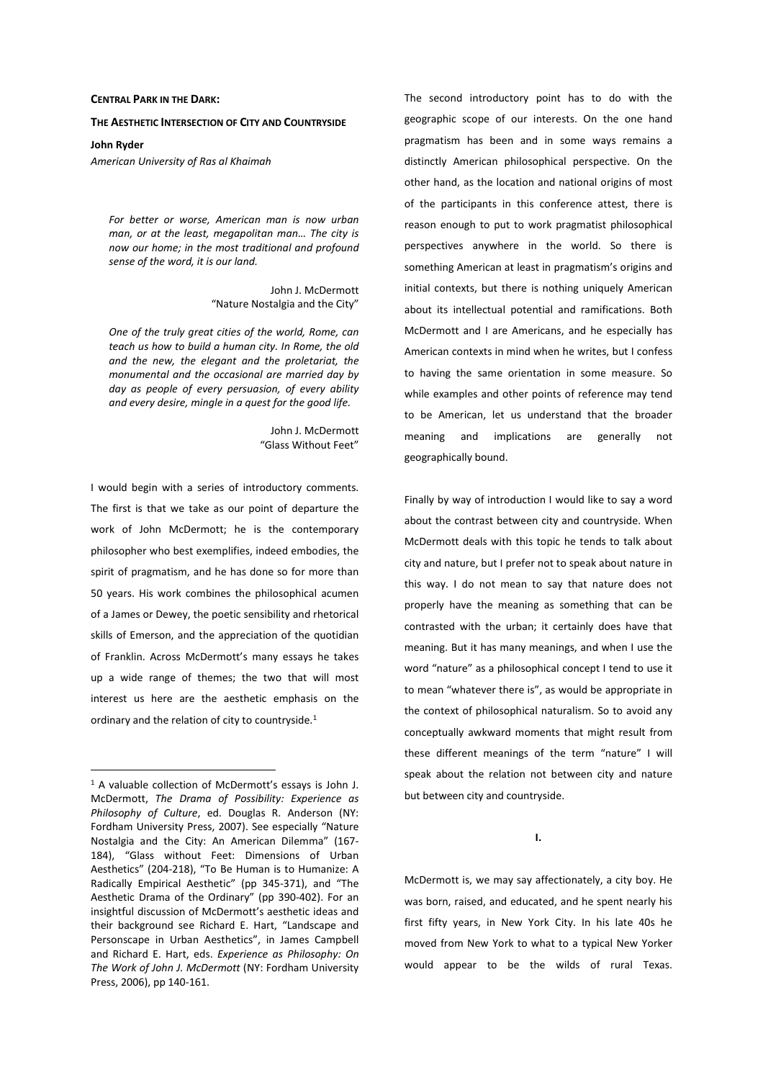## **CENTRAL PARK IN THE DARK:**

## **THE AESTHETIC INTERSECTION OF CITY AND COUNTRYSIDE**

**John Ryder** 

 $\overline{a}$ 

*American University of Ras al Khaimah* 

*For better or worse, American man is now urban man, or at the least, megapolitan man… The city is now our home; in the most traditional and profound sense of the word, it is our land.* 

> John J. McDermott "Nature Nostalgia and the City"

*One of the truly great cities of the world, Rome, can teach us how to build a human city. In Rome, the old and the new, the elegant and the proletariat, the monumental and the occasional are married day by day as people of every persuasion, of every ability and every desire, mingle in a quest for the good life.* 

> John J. McDermott "Glass Without Feet"

I would begin with a series of introductory comments. The first is that we take as our point of departure the work of John McDermott; he is the contemporary philosopher who best exemplifies, indeed embodies, the spirit of pragmatism, and he has done so for more than 50 years. His work combines the philosophical acumen of a James or Dewey, the poetic sensibility and rhetorical skills of Emerson, and the appreciation of the quotidian of Franklin. Across McDermott's many essays he takes up a wide range of themes; the two that will most interest us here are the aesthetic emphasis on the ordinary and the relation of city to countryside.<sup>1</sup>

The second introductory point has to do with the geographic scope of our interests. On the one hand pragmatism has been and in some ways remains a distinctly American philosophical perspective. On the other hand, as the location and national origins of most of the participants in this conference attest, there is reason enough to put to work pragmatist philosophical perspectives anywhere in the world. So there is something American at least in pragmatism's origins and initial contexts, but there is nothing uniquely American about its intellectual potential and ramifications. Both McDermott and I are Americans, and he especially has American contexts in mind when he writes, but I confess to having the same orientation in some measure. So while examples and other points of reference may tend to be American, let us understand that the broader meaning and implications are generally not geographically bound.

Finally by way of introduction I would like to say a word about the contrast between city and countryside. When McDermott deals with this topic he tends to talk about city and nature, but I prefer not to speak about nature in this way. I do not mean to say that nature does not properly have the meaning as something that can be contrasted with the urban; it certainly does have that meaning. But it has many meanings, and when I use the word "nature" as a philosophical concept I tend to use it to mean "whatever there is", as would be appropriate in the context of philosophical naturalism. So to avoid any conceptually awkward moments that might result from these different meanings of the term "nature" I will speak about the relation not between city and nature but between city and countryside.

**I.** 

McDermott is, we may say affectionately, a city boy. He was born, raised, and educated, and he spent nearly his first fifty years, in New York City. In his late 40s he moved from New York to what to a typical New Yorker would appear to be the wilds of rural Texas.

<sup>&</sup>lt;sup>1</sup> A valuable collection of McDermott's essays is John J. McDermott, *The Drama of Possibility: Experience as Philosophy of Culture*, ed. Douglas R. Anderson (NY: Fordham University Press, 2007). See especially "Nature Nostalgia and the City: An American Dilemma" (167- 184), "Glass without Feet: Dimensions of Urban Aesthetics" (204-218), "To Be Human is to Humanize: A Radically Empirical Aesthetic" (pp 345-371), and "The Aesthetic Drama of the Ordinary" (pp 390-402). For an insightful discussion of McDermott's aesthetic ideas and their background see Richard E. Hart, "Landscape and Personscape in Urban Aesthetics", in James Campbell and Richard E. Hart, eds. *Experience as Philosophy: On The Work of John J. McDermott* (NY: Fordham University Press, 2006), pp 140-161.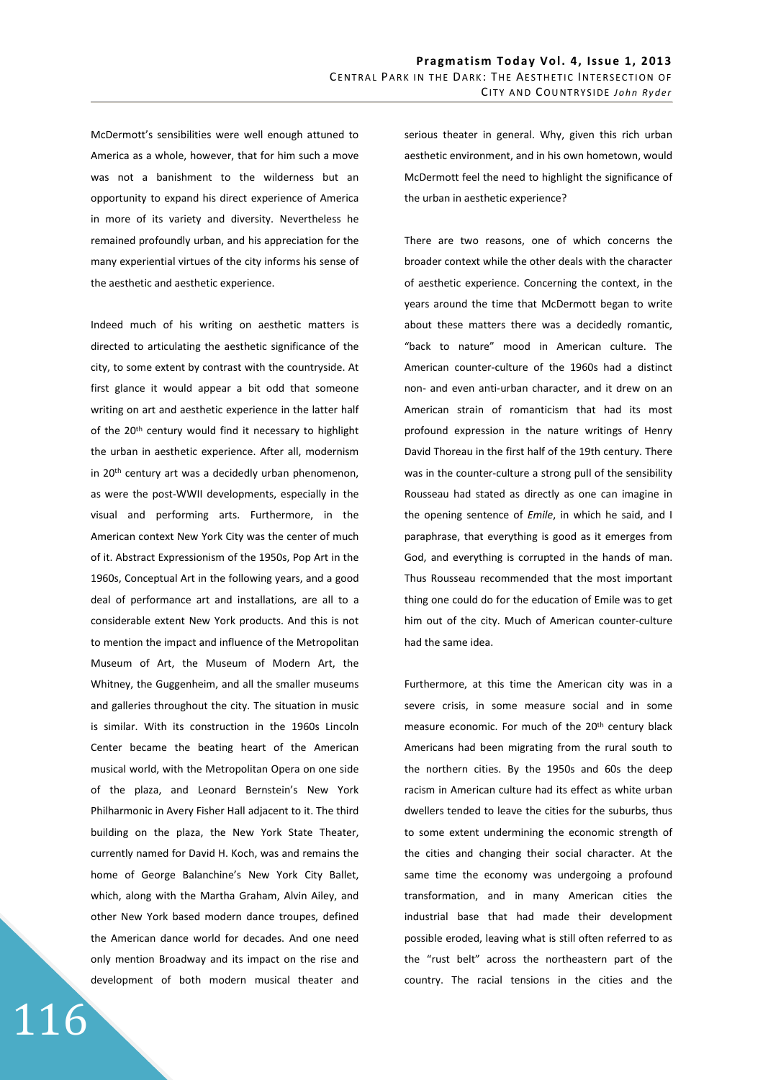McDermott's sensibilities were well enough attuned to America as a whole, however, that for him such a move was not a banishment to the wilderness but an opportunity to expand his direct experience of America in more of its variety and diversity. Nevertheless he remained profoundly urban, and his appreciation for the many experiential virtues of the city informs his sense of the aesthetic and aesthetic experience.

Indeed much of his writing on aesthetic matters is directed to articulating the aesthetic significance of the city, to some extent by contrast with the countryside. At first glance it would appear a bit odd that someone writing on art and aesthetic experience in the latter half of the 20<sup>th</sup> century would find it necessary to highlight the urban in aesthetic experience. After all, modernism in 20th century art was a decidedly urban phenomenon, as were the post-WWII developments, especially in the visual and performing arts. Furthermore, in the American context New York City was the center of much of it. Abstract Expressionism of the 1950s, Pop Art in the 1960s, Conceptual Art in the following years, and a good deal of performance art and installations, are all to a considerable extent New York products. And this is not to mention the impact and influence of the Metropolitan Museum of Art, the Museum of Modern Art, the Whitney, the Guggenheim, and all the smaller museums and galleries throughout the city. The situation in music is similar. With its construction in the 1960s Lincoln Center became the beating heart of the American musical world, with the Metropolitan Opera on one side of the plaza, and Leonard Bernstein's New York Philharmonic in Avery Fisher Hall adjacent to it. The third building on the plaza, the New York State Theater, currently named for David H. Koch, was and remains the home of George Balanchine's New York City Ballet, which, along with the Martha Graham, Alvin Ailey, and other New York based modern dance troupes, defined the American dance world for decades. And one need only mention Broadway and its impact on the rise and development of both modern musical theater and serious theater in general. Why, given this rich urban aesthetic environment, and in his own hometown, would McDermott feel the need to highlight the significance of the urban in aesthetic experience?

There are two reasons, one of which concerns the broader context while the other deals with the character of aesthetic experience. Concerning the context, in the years around the time that McDermott began to write about these matters there was a decidedly romantic, "back to nature" mood in American culture. The American counter-culture of the 1960s had a distinct non- and even anti-urban character, and it drew on an American strain of romanticism that had its most profound expression in the nature writings of Henry David Thoreau in the first half of the 19th century. There was in the counter-culture a strong pull of the sensibility Rousseau had stated as directly as one can imagine in the opening sentence of *Emile*, in which he said, and I paraphrase, that everything is good as it emerges from God, and everything is corrupted in the hands of man. Thus Rousseau recommended that the most important thing one could do for the education of Emile was to get him out of the city. Much of American counter-culture had the same idea.

Furthermore, at this time the American city was in a severe crisis, in some measure social and in some measure economic. For much of the 20<sup>th</sup> century black Americans had been migrating from the rural south to the northern cities. By the 1950s and 60s the deep racism in American culture had its effect as white urban dwellers tended to leave the cities for the suburbs, thus to some extent undermining the economic strength of the cities and changing their social character. At the same time the economy was undergoing a profound transformation, and in many American cities the industrial base that had made their development possible eroded, leaving what is still often referred to as the "rust belt" across the northeastern part of the country. The racial tensions in the cities and the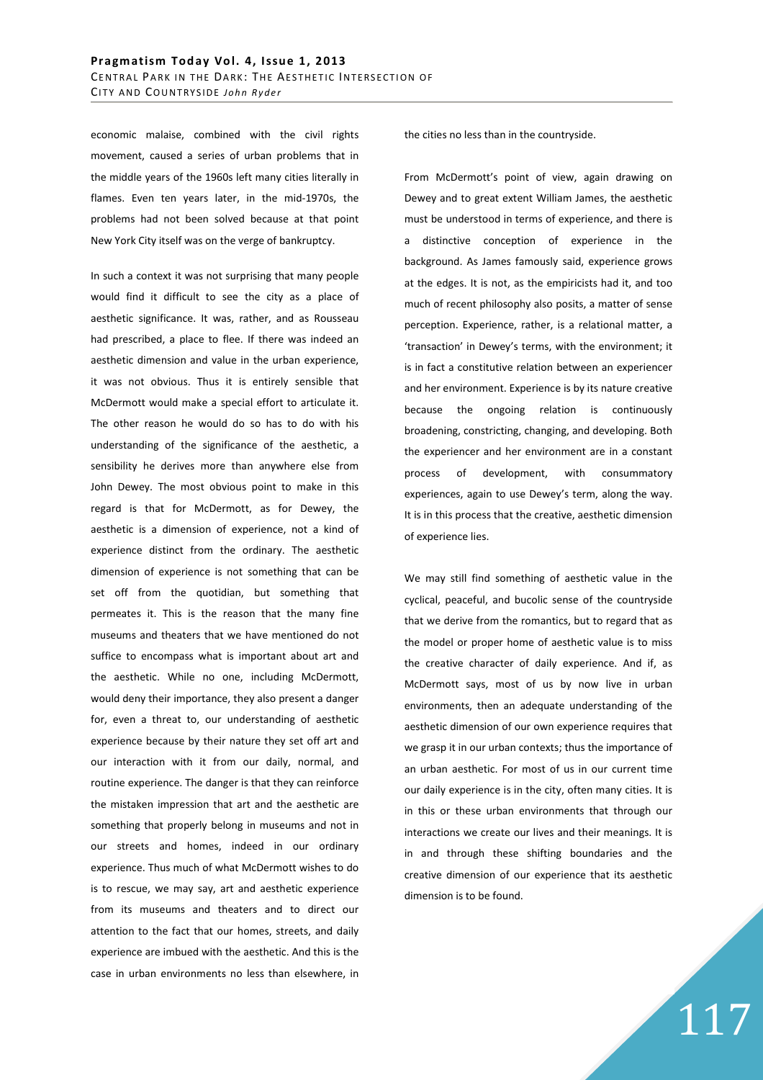economic malaise, combined with the civil rights movement, caused a series of urban problems that in the middle years of the 1960s left many cities literally in flames. Even ten years later, in the mid-1970s, the problems had not been solved because at that point New York City itself was on the verge of bankruptcy.

In such a context it was not surprising that many people would find it difficult to see the city as a place of aesthetic significance. It was, rather, and as Rousseau had prescribed, a place to flee. If there was indeed an aesthetic dimension and value in the urban experience, it was not obvious. Thus it is entirely sensible that McDermott would make a special effort to articulate it. The other reason he would do so has to do with his understanding of the significance of the aesthetic, a sensibility he derives more than anywhere else from John Dewey. The most obvious point to make in this regard is that for McDermott, as for Dewey, the aesthetic is a dimension of experience, not a kind of experience distinct from the ordinary. The aesthetic dimension of experience is not something that can be set off from the quotidian, but something that permeates it. This is the reason that the many fine museums and theaters that we have mentioned do not suffice to encompass what is important about art and the aesthetic. While no one, including McDermott, would deny their importance, they also present a danger for, even a threat to, our understanding of aesthetic experience because by their nature they set off art and our interaction with it from our daily, normal, and routine experience. The danger is that they can reinforce the mistaken impression that art and the aesthetic are something that properly belong in museums and not in our streets and homes, indeed in our ordinary experience. Thus much of what McDermott wishes to do is to rescue, we may say, art and aesthetic experience from its museums and theaters and to direct our attention to the fact that our homes, streets, and daily experience are imbued with the aesthetic. And this is the case in urban environments no less than elsewhere, in

the cities no less than in the countryside.

From McDermott's point of view, again drawing on Dewey and to great extent William James, the aesthetic must be understood in terms of experience, and there is a distinctive conception of experience in the background. As James famously said, experience grows at the edges. It is not, as the empiricists had it, and too much of recent philosophy also posits, a matter of sense perception. Experience, rather, is a relational matter, a 'transaction' in Dewey's terms, with the environment; it is in fact a constitutive relation between an experiencer and her environment. Experience is by its nature creative because the ongoing relation is continuously broadening, constricting, changing, and developing. Both the experiencer and her environment are in a constant process of development, with consummatory experiences, again to use Dewey's term, along the way. It is in this process that the creative, aesthetic dimension of experience lies.

We may still find something of aesthetic value in the cyclical, peaceful, and bucolic sense of the countryside that we derive from the romantics, but to regard that as the model or proper home of aesthetic value is to miss the creative character of daily experience. And if, as McDermott says, most of us by now live in urban environments, then an adequate understanding of the aesthetic dimension of our own experience requires that we grasp it in our urban contexts; thus the importance of an urban aesthetic. For most of us in our current time our daily experience is in the city, often many cities. It is in this or these urban environments that through our interactions we create our lives and their meanings. It is in and through these shifting boundaries and the creative dimension of our experience that its aesthetic dimension is to be found.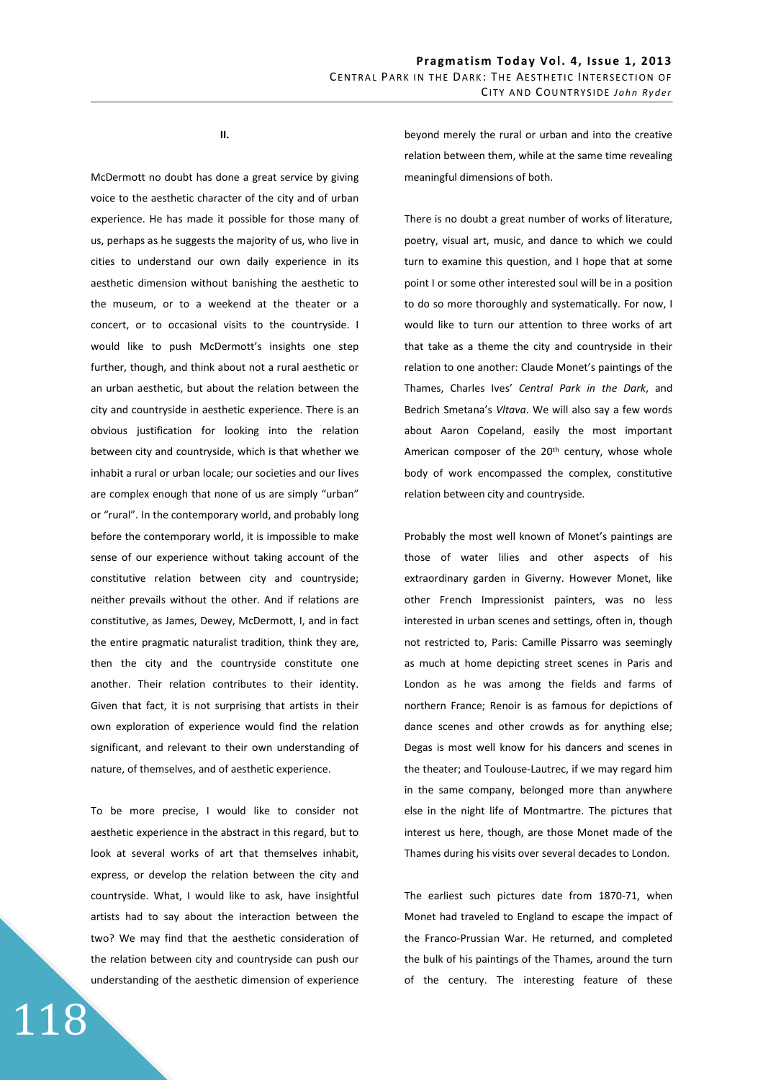**II.** 

McDermott no doubt has done a great service by giving voice to the aesthetic character of the city and of urban experience. He has made it possible for those many of us, perhaps as he suggests the majority of us, who live in cities to understand our own daily experience in its aesthetic dimension without banishing the aesthetic to the museum, or to a weekend at the theater or a concert, or to occasional visits to the countryside. I would like to push McDermott's insights one step further, though, and think about not a rural aesthetic or an urban aesthetic, but about the relation between the city and countryside in aesthetic experience. There is an obvious justification for looking into the relation between city and countryside, which is that whether we inhabit a rural or urban locale; our societies and our lives are complex enough that none of us are simply "urban" or "rural". In the contemporary world, and probably long before the contemporary world, it is impossible to make sense of our experience without taking account of the constitutive relation between city and countryside; neither prevails without the other. And if relations are constitutive, as James, Dewey, McDermott, I, and in fact the entire pragmatic naturalist tradition, think they are, then the city and the countryside constitute one another. Their relation contributes to their identity. Given that fact, it is not surprising that artists in their own exploration of experience would find the relation significant, and relevant to their own understanding of nature, of themselves, and of aesthetic experience.

To be more precise, I would like to consider not aesthetic experience in the abstract in this regard, but to look at several works of art that themselves inhabit, express, or develop the relation between the city and countryside. What, I would like to ask, have insightful artists had to say about the interaction between the two? We may find that the aesthetic consideration of the relation between city and countryside can push our understanding of the aesthetic dimension of experience beyond merely the rural or urban and into the creative relation between them, while at the same time revealing meaningful dimensions of both.

There is no doubt a great number of works of literature, poetry, visual art, music, and dance to which we could turn to examine this question, and I hope that at some point I or some other interested soul will be in a position to do so more thoroughly and systematically. For now, I would like to turn our attention to three works of art that take as a theme the city and countryside in their relation to one another: Claude Monet's paintings of the Thames, Charles Ives' *Central Park in the Dark*, and Bedrich Smetana's *Vltava*. We will also say a few words about Aaron Copeland, easily the most important American composer of the 20<sup>th</sup> century, whose whole body of work encompassed the complex, constitutive relation between city and countryside.

Probably the most well known of Monet's paintings are those of water lilies and other aspects of his extraordinary garden in Giverny. However Monet, like other French Impressionist painters, was no less interested in urban scenes and settings, often in, though not restricted to, Paris: Camille Pissarro was seemingly as much at home depicting street scenes in Paris and London as he was among the fields and farms of northern France; Renoir is as famous for depictions of dance scenes and other crowds as for anything else; Degas is most well know for his dancers and scenes in the theater; and Toulouse-Lautrec, if we may regard him in the same company, belonged more than anywhere else in the night life of Montmartre. The pictures that interest us here, though, are those Monet made of the Thames during his visits over several decades to London.

The earliest such pictures date from 1870-71, when Monet had traveled to England to escape the impact of the Franco-Prussian War. He returned, and completed the bulk of his paintings of the Thames, around the turn of the century. The interesting feature of these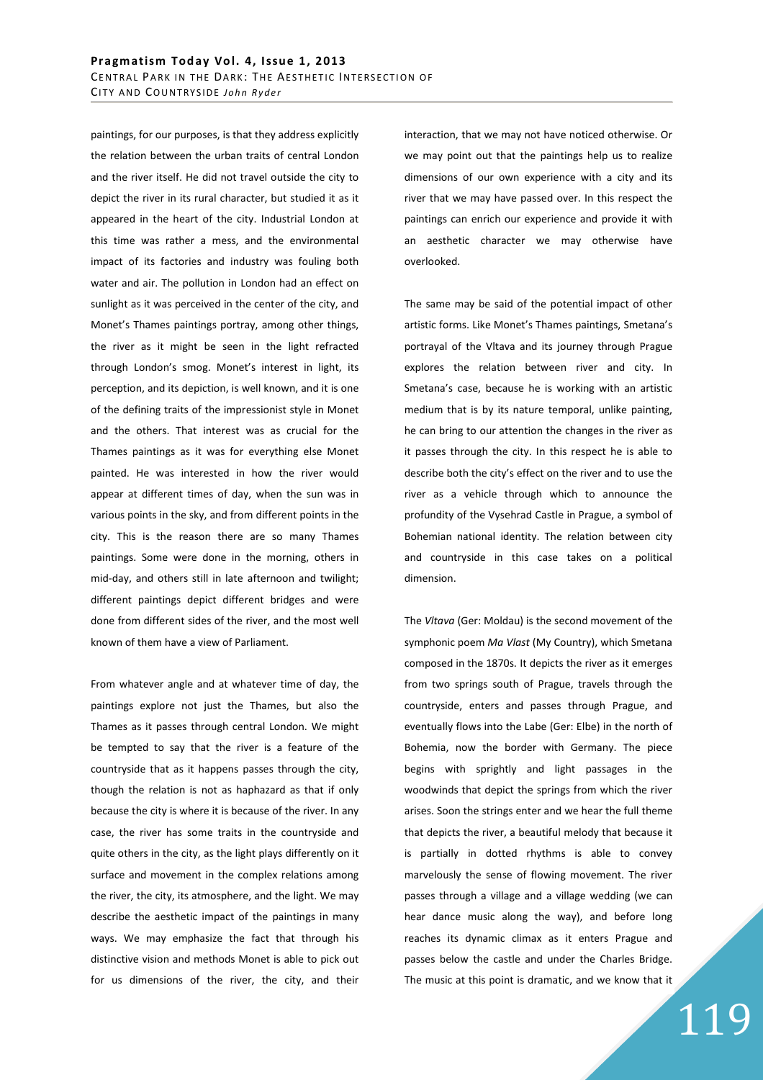paintings, for our purposes, is that they address explicitly the relation between the urban traits of central London and the river itself. He did not travel outside the city to depict the river in its rural character, but studied it as it appeared in the heart of the city. Industrial London at this time was rather a mess, and the environmental impact of its factories and industry was fouling both water and air. The pollution in London had an effect on sunlight as it was perceived in the center of the city, and Monet's Thames paintings portray, among other things, the river as it might be seen in the light refracted through London's smog. Monet's interest in light, its perception, and its depiction, is well known, and it is one of the defining traits of the impressionist style in Monet and the others. That interest was as crucial for the Thames paintings as it was for everything else Monet painted. He was interested in how the river would appear at different times of day, when the sun was in various points in the sky, and from different points in the city. This is the reason there are so many Thames paintings. Some were done in the morning, others in mid-day, and others still in late afternoon and twilight; different paintings depict different bridges and were done from different sides of the river, and the most well known of them have a view of Parliament.

From whatever angle and at whatever time of day, the paintings explore not just the Thames, but also the Thames as it passes through central London. We might be tempted to say that the river is a feature of the countryside that as it happens passes through the city, though the relation is not as haphazard as that if only because the city is where it is because of the river. In any case, the river has some traits in the countryside and quite others in the city, as the light plays differently on it surface and movement in the complex relations among the river, the city, its atmosphere, and the light. We may describe the aesthetic impact of the paintings in many ways. We may emphasize the fact that through his distinctive vision and methods Monet is able to pick out for us dimensions of the river, the city, and their

interaction, that we may not have noticed otherwise. Or we may point out that the paintings help us to realize dimensions of our own experience with a city and its river that we may have passed over. In this respect the paintings can enrich our experience and provide it with an aesthetic character we may otherwise have overlooked.

The same may be said of the potential impact of other artistic forms. Like Monet's Thames paintings, Smetana's portrayal of the Vltava and its journey through Prague explores the relation between river and city. In Smetana's case, because he is working with an artistic medium that is by its nature temporal, unlike painting, he can bring to our attention the changes in the river as it passes through the city. In this respect he is able to describe both the city's effect on the river and to use the river as a vehicle through which to announce the profundity of the Vysehrad Castle in Prague, a symbol of Bohemian national identity. The relation between city and countryside in this case takes on a political dimension.

The *Vltava* (Ger: Moldau) is the second movement of the symphonic poem *Ma Vlast* (My Country), which Smetana composed in the 1870s. It depicts the river as it emerges from two springs south of Prague, travels through the countryside, enters and passes through Prague, and eventually flows into the Labe (Ger: Elbe) in the north of Bohemia, now the border with Germany. The piece begins with sprightly and light passages in the woodwinds that depict the springs from which the river arises. Soon the strings enter and we hear the full theme that depicts the river, a beautiful melody that because it is partially in dotted rhythms is able to convey marvelously the sense of flowing movement. The river passes through a village and a village wedding (we can hear dance music along the way), and before long reaches its dynamic climax as it enters Prague and passes below the castle and under the Charles Bridge. The music at this point is dramatic, and we know that it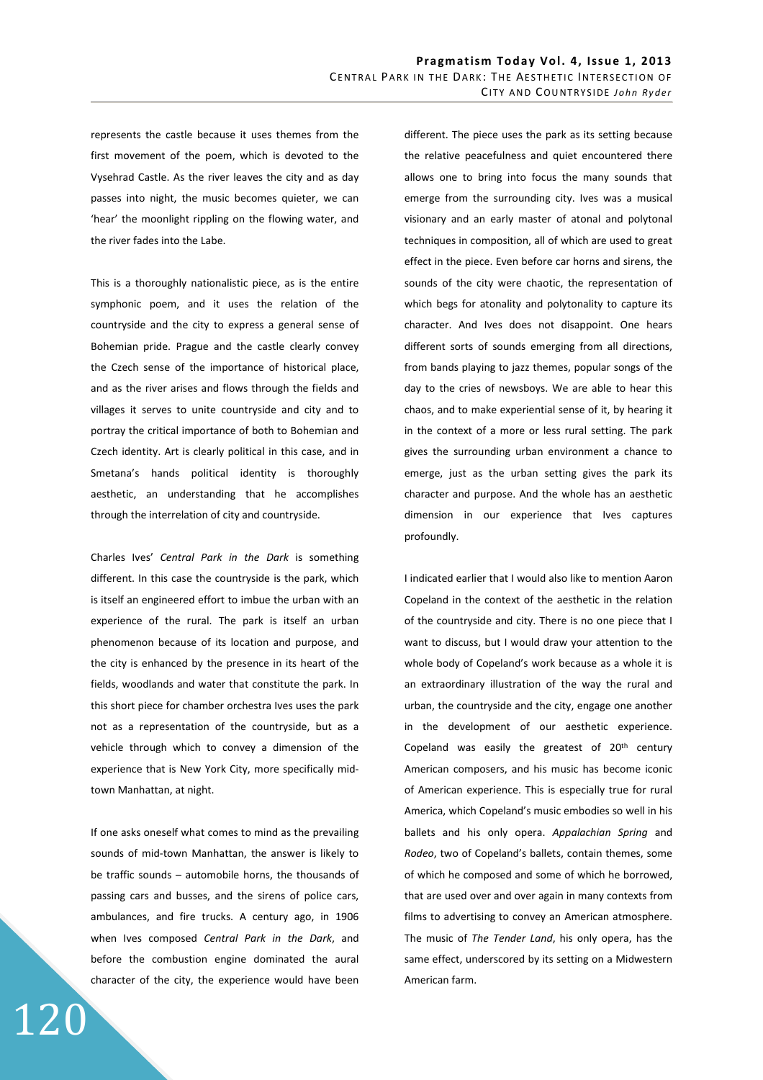represents the castle because it uses themes from the first movement of the poem, which is devoted to the Vysehrad Castle. As the river leaves the city and as day passes into night, the music becomes quieter, we can 'hear' the moonlight rippling on the flowing water, and the river fades into the Labe.

This is a thoroughly nationalistic piece, as is the entire symphonic poem, and it uses the relation of the countryside and the city to express a general sense of Bohemian pride. Prague and the castle clearly convey the Czech sense of the importance of historical place, and as the river arises and flows through the fields and villages it serves to unite countryside and city and to portray the critical importance of both to Bohemian and Czech identity. Art is clearly political in this case, and in Smetana's hands political identity is thoroughly aesthetic, an understanding that he accomplishes through the interrelation of city and countryside.

Charles Ives' *Central Park in the Dark* is something different. In this case the countryside is the park, which is itself an engineered effort to imbue the urban with an experience of the rural. The park is itself an urban phenomenon because of its location and purpose, and the city is enhanced by the presence in its heart of the fields, woodlands and water that constitute the park. In this short piece for chamber orchestra Ives uses the park not as a representation of the countryside, but as a vehicle through which to convey a dimension of the experience that is New York City, more specifically midtown Manhattan, at night.

If one asks oneself what comes to mind as the prevailing sounds of mid-town Manhattan, the answer is likely to be traffic sounds – automobile horns, the thousands of passing cars and busses, and the sirens of police cars, ambulances, and fire trucks. A century ago, in 1906 when Ives composed *Central Park in the Dark*, and before the combustion engine dominated the aural character of the city, the experience would have been

120

different. The piece uses the park as its setting because the relative peacefulness and quiet encountered there allows one to bring into focus the many sounds that emerge from the surrounding city. Ives was a musical visionary and an early master of atonal and polytonal techniques in composition, all of which are used to great effect in the piece. Even before car horns and sirens, the sounds of the city were chaotic, the representation of which begs for atonality and polytonality to capture its character. And Ives does not disappoint. One hears different sorts of sounds emerging from all directions, from bands playing to jazz themes, popular songs of the day to the cries of newsboys. We are able to hear this chaos, and to make experiential sense of it, by hearing it in the context of a more or less rural setting. The park gives the surrounding urban environment a chance to emerge, just as the urban setting gives the park its character and purpose. And the whole has an aesthetic dimension in our experience that Ives captures profoundly.

I indicated earlier that I would also like to mention Aaron Copeland in the context of the aesthetic in the relation of the countryside and city. There is no one piece that I want to discuss, but I would draw your attention to the whole body of Copeland's work because as a whole it is an extraordinary illustration of the way the rural and urban, the countryside and the city, engage one another in the development of our aesthetic experience. Copeland was easily the greatest of 20<sup>th</sup> century American composers, and his music has become iconic of American experience. This is especially true for rural America, which Copeland's music embodies so well in his ballets and his only opera. *Appalachian Spring* and *Rodeo*, two of Copeland's ballets, contain themes, some of which he composed and some of which he borrowed, that are used over and over again in many contexts from films to advertising to convey an American atmosphere. The music of *The Tender Land*, his only opera, has the same effect, underscored by its setting on a Midwestern American farm.